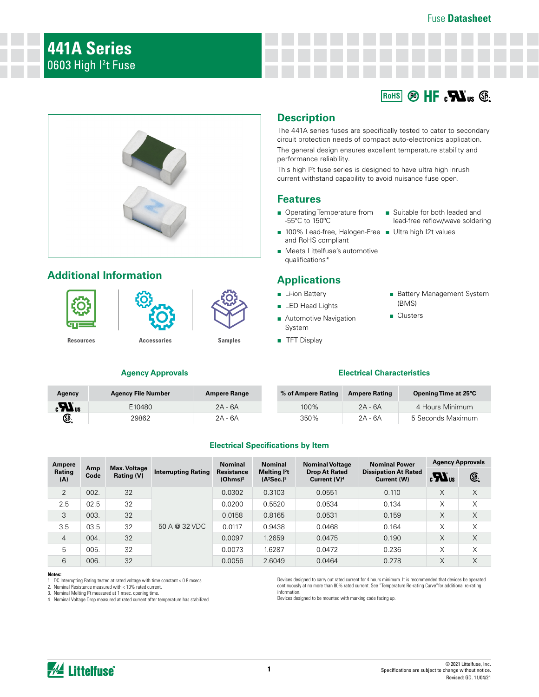#### Fuse **Datasheet**



## **Additional Information**





**Agency Approvals**

**[Resources](https://www.littelfuse.com/products/fuses/aecq-compliant/441a.aspx#TechnicalResources) [Accessories](https://www.littelfuse.com/products/fuses/aecq-compliant/441a.aspx#EnvironmentalInfo) [Samples](https://www.littelfuse.com/products/fuses/aecq-compliant/441a.aspx#ElectricalCharacteristics)**

# **Description**

The 441A series fuses are specifically tested to cater to secondary circuit protection needs of compact auto-electronics application. The general design ensures excellent temperature stability and performance reliability.

This high I²t fuse series is designed to have ultra high inrush current withstand capability to avoid nuisance fuse open.

### **Features**

- Operating Temperature from -55ºC to 150ºC
- 100% Lead-free, Halogen-Free Ultra high I2t values and RoHS compliant
- Meets Littelfuse's automotive qualifications\*

## **Applications**

- Li-ion Battery
- LED Head Lights
- Automotive Navigation System
- TFT Display

■ Suitable for both leaded and lead-free reflow/wave soldering

 $R_{\text{OHS}}$  **Pb**  $H$ **F**  $_3$  **Pa**<sub>us</sub> **Pb**<sub>us</sub> **P**<sub>2</sub>

- - Battery Management System (BMS)
	- Clusters

### **Electrical Characteristics**

| Agency                         | <b>Agency File Number</b> | <b>Ampere Range</b> | % of Ampere Rating | <b>Ampere Rating</b> | Opening Time at 25°C |
|--------------------------------|---------------------------|---------------------|--------------------|----------------------|----------------------|
| $\boldsymbol{H}$ <sub>us</sub> | E10480                    | $2A - 6A$           | 100%               | $2A - 6A$            | 4 Hours Minimum      |
| $\bigcirc$                     | 29862                     | 2A - 6A             | 350%               | 2A - 6A              | 5 Seconds Maximum    |

### **Electrical Specifications by Item**

| Ampere         |             |                                   |                            | <b>Nominal</b>                                                                                                                                                                           | <b>Nominal</b> | <b>Nominal Voltage</b> | <b>Nominal Power</b> | <b>Agency Approvals</b> |   |
|----------------|-------------|-----------------------------------|----------------------------|------------------------------------------------------------------------------------------------------------------------------------------------------------------------------------------|----------------|------------------------|----------------------|-------------------------|---|
| Rating<br>(A)  | Amp<br>Code | <b>Max. Voltage</b><br>Rating (V) | <b>Interrupting Rating</b> | <b>Drop At Rated</b><br><b>Resistance</b><br>Melting <sup>2</sup> t<br><b>Dissipation At Rated</b><br>(Ohms) <sup>2</sup><br>$(A^2$ Sec.) <sup>3</sup><br>Current $(V)^4$<br>Current (W) |                | $\mathbf{a}$           | œ.                   |                         |   |
| 2              | 002.        | 32                                |                            | 0.0302                                                                                                                                                                                   | 0.3103         | 0.0551                 | 0.110                | X                       | X |
| 2.5            | 02.5        | 32                                |                            | 0.0200                                                                                                                                                                                   | 0.5520         | 0.0534                 | 0.134                | $\times$                | X |
| 3              | 003.        | 32                                |                            | 0.0158                                                                                                                                                                                   | 0.8165         | 0.0531                 | 0.159                | X                       | X |
| 3.5            | 03.5        | 32                                | 50 A @ 32 VDC              | 0.0117                                                                                                                                                                                   | 0.9438         | 0.0468                 | 0.164                | X                       | X |
| $\overline{4}$ | 004.        | 32                                |                            | 0.0097                                                                                                                                                                                   | 1.2659         | 0.0475                 | 0.190                | X                       | X |
| 5              | 005.        | 32                                |                            | 0.0073                                                                                                                                                                                   | 1.6287         | 0.0472                 | 0.236                | X                       | X |
| 6              | 006.        | 32                                |                            | 0.0056                                                                                                                                                                                   | 2.6049         | 0.0464                 | 0.278                | X                       | Χ |

#### **Notes:**

1. DC Interrupting Rating tested at rated voltage with time constant < 0.8 msecs.

2. Nominal Resistance measured with < 10% rated current.

3. Nominal Melting I²t measured at 1 msec. opening time. 4. Nominal Voltage Drop measured at rated current after temperature has stabilized.

Devices designed to carry out rated current for 4 hours minimum. It is recommended that devices be operated continuously at no more than 80% rated current. See "Temperature Re-rating Curve"for additional re-rating information.

Devices designed to be mounted with marking code facing up.

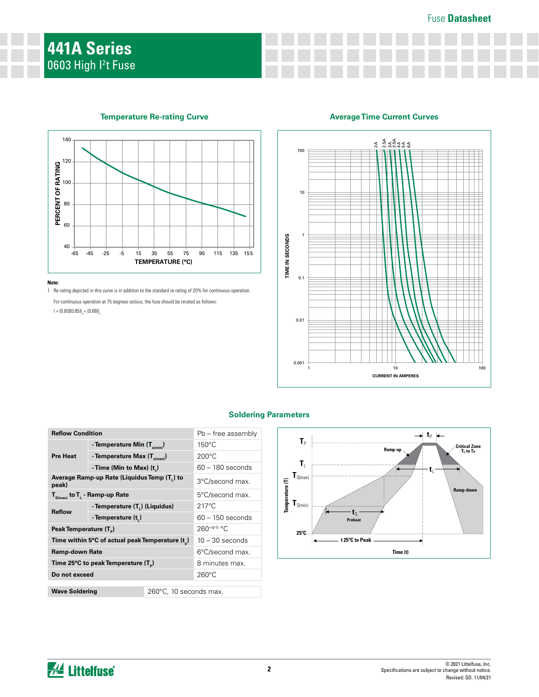### Fuse **Datasheet**



## **Temperature Re-rating Curve**

#### **Note:**

1. Re-rating depicted in this curve is in addition to the standard re-rating of 20% for continuous operation.

For continuous operation at 75 degrees celsius, the fuse should be rerated as follows:  $I = (0.80)(0.85)I<sub>n</sub> = (0.68)I<sub>n</sub>$ 





| <b>Reflow Condition</b>                              |                                          |                    | Pb – free assembly     |  |  |
|------------------------------------------------------|------------------------------------------|--------------------|------------------------|--|--|
|                                                      | - Temperature Min (T <sub>s(min)</sub> ) |                    | $150^{\circ}$ C        |  |  |
| <b>Pre Heat</b>                                      | - Temperature Max (T <sub>s(max)</sub> ) | $200^{\circ}$ C    |                        |  |  |
|                                                      | - Time (Min to Max) $(t_*)$              | $60 - 180$ seconds |                        |  |  |
| Average Ramp-up Rate (Liquidus Temp (T.) to<br>peak) |                                          |                    | 3°C/second max.        |  |  |
| $T_{S(max)}$ to $T_{L}$ - Ramp-up Rate               |                                          |                    | 5°C/second max.        |  |  |
| <b>Reflow</b>                                        | - Temperature (T.) (Liquidus)            |                    | $217^{\circ}$ C        |  |  |
|                                                      | - Temperature (t,)                       | $60 - 150$ seconds |                        |  |  |
| Peak Temperature (T <sub>n</sub> )                   |                                          |                    | $260^{+0/5}$ °C        |  |  |
| Time within 5°C of actual peak Temperature (t)       |                                          |                    | $10 - 30$ seconds      |  |  |
| <b>Ramp-down Rate</b>                                |                                          |                    | 6°C/second max.        |  |  |
| Time 25°C to peak Temperature (T <sub>a</sub> )      |                                          |                    | 8 minutes max.         |  |  |
| Do not exceed                                        |                                          |                    | $260^{\circ}$ C        |  |  |
| <b>Wave Soldering</b>                                |                                          |                    | 260°C, 10 seconds max. |  |  |
|                                                      |                                          |                    |                        |  |  |

### **Soldering Parameters**



*M* Littelfuse®